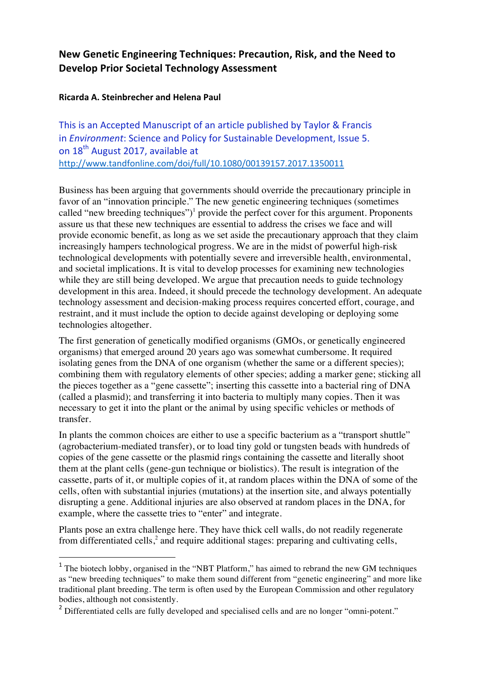# **New Genetic Engineering Techniques: Precaution, Risk, and the Need to Develop Prior Societal Technology Assessment**

#### **Ricarda A. Steinbrecher and Helena Paul**

 

This is an Accepted Manuscript of an article published by Taylor & Francis in *Environment*: Science and Policy for Sustainable Development, Issue 5. on 18<sup>th</sup> August 2017, available at http://www.tandfonline.com/doi/full/10.1080/00139157.2017.1350011

Business has been arguing that governments should override the precautionary principle in favor of an "innovation principle." The new genetic engineering techniques (sometimes called "new breeding techniques")<sup>1</sup> provide the perfect cover for this argument. Proponents assure us that these new techniques are essential to address the crises we face and will provide economic benefit, as long as we set aside the precautionary approach that they claim increasingly hampers technological progress. We are in the midst of powerful high-risk technological developments with potentially severe and irreversible health, environmental, and societal implications. It is vital to develop processes for examining new technologies while they are still being developed. We argue that precaution needs to guide technology development in this area. Indeed, it should precede the technology development. An adequate technology assessment and decision-making process requires concerted effort, courage, and restraint, and it must include the option to decide against developing or deploying some technologies altogether.

The first generation of genetically modified organisms (GMOs, or genetically engineered organisms) that emerged around 20 years ago was somewhat cumbersome. It required isolating genes from the DNA of one organism (whether the same or a different species); combining them with regulatory elements of other species; adding a marker gene; sticking all the pieces together as a "gene cassette"; inserting this cassette into a bacterial ring of DNA (called a plasmid); and transferring it into bacteria to multiply many copies. Then it was necessary to get it into the plant or the animal by using specific vehicles or methods of transfer.

In plants the common choices are either to use a specific bacterium as a "transport shuttle" (agrobacterium-mediated transfer), or to load tiny gold or tungsten beads with hundreds of copies of the gene cassette or the plasmid rings containing the cassette and literally shoot them at the plant cells (gene-gun technique or biolistics). The result is integration of the cassette, parts of it, or multiple copies of it, at random places within the DNA of some of the cells, often with substantial injuries (mutations) at the insertion site, and always potentially disrupting a gene. Additional injuries are also observed at random places in the DNA, for example, where the cassette tries to "enter" and integrate.

Plants pose an extra challenge here. They have thick cell walls, do not readily regenerate from differentiated cells,<sup>2</sup> and require additional stages: preparing and cultivating cells,

<sup>&</sup>lt;sup>1</sup> The biotech lobby, organised in the "NBT Platform," has aimed to rebrand the new GM techniques as "new breeding techniques" to make them sound different from "genetic engineering" and more like traditional plant breeding. The term is often used by the European Commission and other regulatory bodies, although not consistently.

<sup>&</sup>lt;sup>2</sup> Differentiated cells are fully developed and specialised cells and are no longer "omni-potent."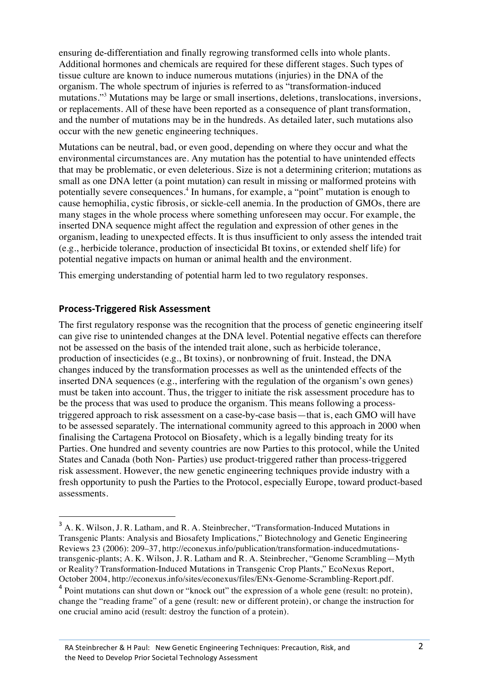ensuring de-differentiation and finally regrowing transformed cells into whole plants. Additional hormones and chemicals are required for these different stages. Such types of tissue culture are known to induce numerous mutations (injuries) in the DNA of the organism. The whole spectrum of injuries is referred to as "transformation-induced mutations."<sup>3</sup> Mutations may be large or small insertions, deletions, translocations, inversions, or replacements. All of these have been reported as a consequence of plant transformation, and the number of mutations may be in the hundreds. As detailed later, such mutations also occur with the new genetic engineering techniques.

Mutations can be neutral, bad, or even good, depending on where they occur and what the environmental circumstances are. Any mutation has the potential to have unintended effects that may be problematic, or even deleterious. Size is not a determining criterion; mutations as small as one DNA letter (a point mutation) can result in missing or malformed proteins with potentially severe consequences.<sup>4</sup> In humans, for example, a "point" mutation is enough to cause hemophilia, cystic fibrosis, or sickle-cell anemia. In the production of GMOs, there are many stages in the whole process where something unforeseen may occur. For example, the inserted DNA sequence might affect the regulation and expression of other genes in the organism, leading to unexpected effects. It is thus insufficient to only assess the intended trait (e.g., herbicide tolerance, production of insecticidal Bt toxins, or extended shelf life) for potential negative impacts on human or animal health and the environment.

This emerging understanding of potential harm led to two regulatory responses.

#### **Process-Triggered Risk Assessment**

 

The first regulatory response was the recognition that the process of genetic engineering itself can give rise to unintended changes at the DNA level. Potential negative effects can therefore not be assessed on the basis of the intended trait alone, such as herbicide tolerance, production of insecticides (e.g., Bt toxins), or nonbrowning of fruit. Instead, the DNA changes induced by the transformation processes as well as the unintended effects of the inserted DNA sequences (e.g., interfering with the regulation of the organism's own genes) must be taken into account. Thus, the trigger to initiate the risk assessment procedure has to be the process that was used to produce the organism. This means following a processtriggered approach to risk assessment on a case-by-case basis—that is, each GMO will have to be assessed separately. The international community agreed to this approach in 2000 when finalising the Cartagena Protocol on Biosafety, which is a legally binding treaty for its Parties. One hundred and seventy countries are now Parties to this protocol, while the United States and Canada (both Non- Parties) use product-triggered rather than process-triggered risk assessment. However, the new genetic engineering techniques provide industry with a fresh opportunity to push the Parties to the Protocol, especially Europe, toward product-based assessments.

<sup>&</sup>lt;sup>3</sup> A. K. Wilson, J. R. Latham, and R. A. Steinbrecher, "Transformation-Induced Mutations in Transgenic Plants: Analysis and Biosafety Implications," Biotechnology and Genetic Engineering Reviews 23 (2006): 209–37, http://econexus.info/publication/transformation-inducedmutationstransgenic-plants; A. K. Wilson, J. R. Latham and R. A. Steinbrecher, "Genome Scrambling—Myth or Reality? Transformation-Induced Mutations in Transgenic Crop Plants," EcoNexus Report, October 2004, http://econexus.info/sites/econexus/files/ENx-Genome-Scrambling-Report.pdf.  $4$  Point mutations can shut down or "knock out" the expression of a whole gene (result: no protein), change the "reading frame" of a gene (result: new or different protein), or change the instruction for

one crucial amino acid (result: destroy the function of a protein).

RA Steinbrecher & H Paul: New Genetic Engineering Techniques: Precaution, Risk, and 2 the Need to Develop Prior Societal Technology Assessment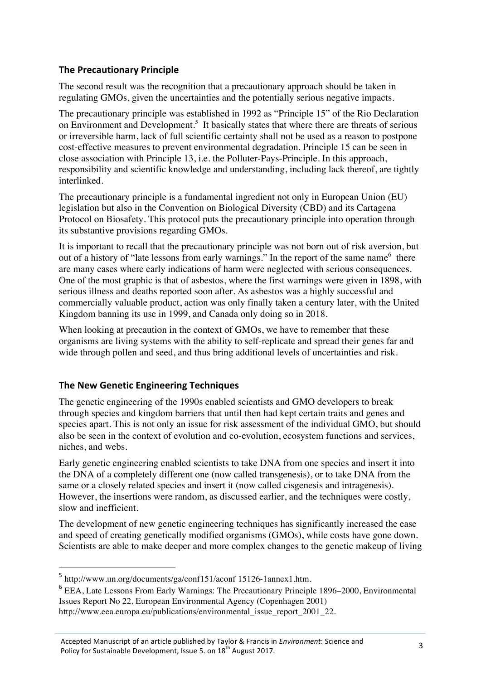## **The Precautionary Principle**

The second result was the recognition that a precautionary approach should be taken in regulating GMOs, given the uncertainties and the potentially serious negative impacts.

The precautionary principle was established in 1992 as "Principle 15" of the Rio Declaration on Environment and Development.<sup>5</sup> It basically states that where there are threats of serious or irreversible harm, lack of full scientific certainty shall not be used as a reason to postpone cost-effective measures to prevent environmental degradation. Principle 15 can be seen in close association with Principle 13, i.e. the Polluter-Pays-Principle. In this approach, responsibility and scientific knowledge and understanding, including lack thereof, are tightly interlinked.

The precautionary principle is a fundamental ingredient not only in European Union (EU) legislation but also in the Convention on Biological Diversity (CBD) and its Cartagena Protocol on Biosafety. This protocol puts the precautionary principle into operation through its substantive provisions regarding GMOs.

It is important to recall that the precautionary principle was not born out of risk aversion, but out of a history of "late lessons from early warnings." In the report of the same name<sup>6</sup> there are many cases where early indications of harm were neglected with serious consequences. One of the most graphic is that of asbestos, where the first warnings were given in 1898, with serious illness and deaths reported soon after. As asbestos was a highly successful and commercially valuable product, action was only finally taken a century later, with the United Kingdom banning its use in 1999, and Canada only doing so in 2018.

When looking at precaution in the context of GMOs, we have to remember that these organisms are living systems with the ability to self-replicate and spread their genes far and wide through pollen and seed, and thus bring additional levels of uncertainties and risk.

## **The New Genetic Engineering Techniques**

 

The genetic engineering of the 1990s enabled scientists and GMO developers to break through species and kingdom barriers that until then had kept certain traits and genes and species apart. This is not only an issue for risk assessment of the individual GMO, but should also be seen in the context of evolution and co-evolution, ecosystem functions and services, niches, and webs.

Early genetic engineering enabled scientists to take DNA from one species and insert it into the DNA of a completely different one (now called transgenesis), or to take DNA from the same or a closely related species and insert it (now called cisgenesis and intragenesis). However, the insertions were random, as discussed earlier, and the techniques were costly, slow and inefficient.

The development of new genetic engineering techniques has significantly increased the ease and speed of creating genetically modified organisms (GMOs), while costs have gone down. Scientists are able to make deeper and more complex changes to the genetic makeup of living

<sup>5</sup> http://www.un.org/documents/ga/conf151/aconf 15126-1annex1.htm.

<sup>6</sup> EEA, Late Lessons From Early Warnings: The Precautionary Principle 1896–2000, Environmental Issues Report No 22, European Environmental Agency (Copenhagen 2001) http://www.eea.europa.eu/publications/environmental\_issue\_report\_2001\_22.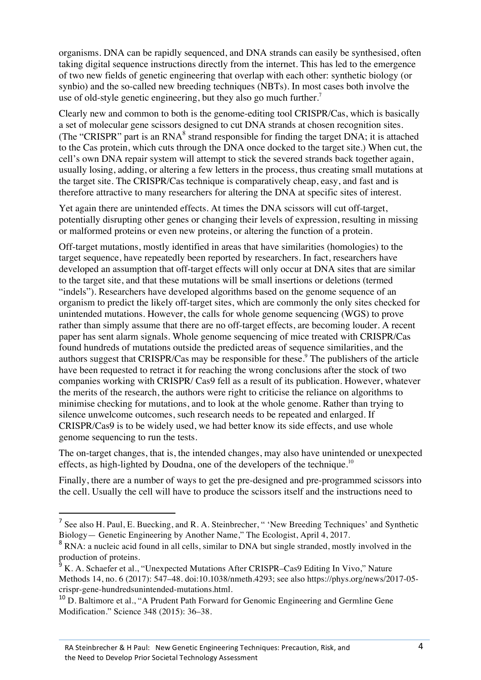organisms. DNA can be rapidly sequenced, and DNA strands can easily be synthesised, often taking digital sequence instructions directly from the internet. This has led to the emergence of two new fields of genetic engineering that overlap with each other: synthetic biology (or synbio) and the so-called new breeding techniques (NBTs). In most cases both involve the use of old-style genetic engineering, but they also go much further.<sup>7</sup>

Clearly new and common to both is the genome-editing tool CRISPR/Cas, which is basically a set of molecular gene scissors designed to cut DNA strands at chosen recognition sites. (The "CRISPR" part is an  $RNA<sup>8</sup>$  strand responsible for finding the target DNA; it is attached to the Cas protein, which cuts through the DNA once docked to the target site.) When cut, the cell's own DNA repair system will attempt to stick the severed strands back together again, usually losing, adding, or altering a few letters in the process, thus creating small mutations at the target site. The CRISPR/Cas technique is comparatively cheap, easy, and fast and is therefore attractive to many researchers for altering the DNA at specific sites of interest.

Yet again there are unintended effects. At times the DNA scissors will cut off-target, potentially disrupting other genes or changing their levels of expression, resulting in missing or malformed proteins or even new proteins, or altering the function of a protein.

Off-target mutations, mostly identified in areas that have similarities (homologies) to the target sequence, have repeatedly been reported by researchers. In fact, researchers have developed an assumption that off-target effects will only occur at DNA sites that are similar to the target site, and that these mutations will be small insertions or deletions (termed "indels"). Researchers have developed algorithms based on the genome sequence of an organism to predict the likely off-target sites, which are commonly the only sites checked for unintended mutations. However, the calls for whole genome sequencing (WGS) to prove rather than simply assume that there are no off-target effects, are becoming louder. A recent paper has sent alarm signals. Whole genome sequencing of mice treated with CRISPR/Cas found hundreds of mutations outside the predicted areas of sequence similarities, and the authors suggest that CRISPR/Cas may be responsible for these.<sup>9</sup> The publishers of the article have been requested to retract it for reaching the wrong conclusions after the stock of two companies working with CRISPR/ Cas9 fell as a result of its publication. However, whatever the merits of the research, the authors were right to criticise the reliance on algorithms to minimise checking for mutations, and to look at the whole genome. Rather than trying to silence unwelcome outcomes, such research needs to be repeated and enlarged. If CRISPR/Cas9 is to be widely used, we had better know its side effects, and use whole genome sequencing to run the tests.

The on-target changes, that is, the intended changes, may also have unintended or unexpected effects, as high-lighted by Doudna, one of the developers of the technique.<sup>10</sup>

Finally, there are a number of ways to get the pre-designed and pre-programmed scissors into the cell. Usually the cell will have to produce the scissors itself and the instructions need to

<sup>7</sup> See also H. Paul, E. Buecking, and R. A. Steinbrecher, " 'New Breeding Techniques' and Synthetic Biology— Genetic Engineering by Another Name," The Ecologist, April 4, 2017.

<sup>&</sup>lt;sup>8</sup> RNA: a nucleic acid found in all cells, similar to DNA but single stranded, mostly involved in the production of proteins.

<sup>9</sup> K. A. Schaefer et al., "Unexpected Mutations After CRISPR–Cas9 Editing In Vivo," Nature Methods 14, no. 6 (2017): 547–48. doi:10.1038/nmeth.4293; see also https://phys.org/news/2017-05 crispr-gene-hundredsunintended-mutations.html.

<sup>&</sup>lt;sup>10</sup> D. Baltimore et al., "A Prudent Path Forward for Genomic Engineering and Germline Gene Modification." Science 348 (2015): 36–38.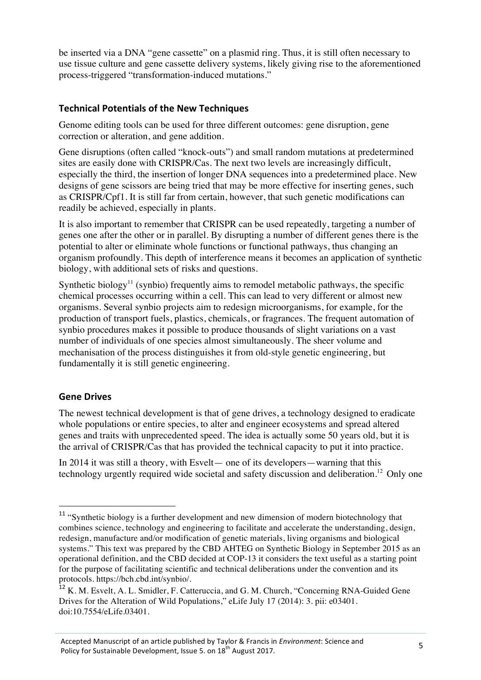be inserted via a DNA "gene cassette" on a plasmid ring. Thus, it is still often necessary to use tissue culture and gene cassette delivery systems, likely giving rise to the aforementioned process-triggered "transformation-induced mutations."

#### **Technical Potentials of the New Techniques**

Genome editing tools can be used for three different outcomes: gene disruption, gene correction or alteration, and gene addition.

Gene disruptions (often called "knock-outs") and small random mutations at predetermined sites are easily done with CRISPR/Cas. The next two levels are increasingly difficult, especially the third, the insertion of longer DNA sequences into a predetermined place. New designs of gene scissors are being tried that may be more effective for inserting genes, such as CRISPR/Cpf1. It is still far from certain, however, that such genetic modifications can readily be achieved, especially in plants.

It is also important to remember that CRISPR can be used repeatedly, targeting a number of genes one after the other or in parallel. By disrupting a number of different genes there is the potential to alter or eliminate whole functions or functional pathways, thus changing an organism profoundly. This depth of interference means it becomes an application of synthetic biology, with additional sets of risks and questions.

Synthetic biology<sup>11</sup> (synbio) frequently aims to remodel metabolic pathways, the specific chemical processes occurring within a cell. This can lead to very different or almost new organisms. Several synbio projects aim to redesign microorganisms, for example, for the production of transport fuels, plastics, chemicals, or fragrances. The frequent automation of synbio procedures makes it possible to produce thousands of slight variations on a vast number of individuals of one species almost simultaneously. The sheer volume and mechanisation of the process distinguishes it from old-style genetic engineering, but fundamentally it is still genetic engineering.

#### **Gene Drives**

 

The newest technical development is that of gene drives, a technology designed to eradicate whole populations or entire species, to alter and engineer ecosystems and spread altered genes and traits with unprecedented speed. The idea is actually some 50 years old, but it is the arrival of CRISPR/Cas that has provided the technical capacity to put it into practice.

In 2014 it was still a theory, with Esvelt— one of its developers—warning that this technology urgently required wide societal and safety discussion and deliberation.<sup>12</sup> Only one

<sup>&</sup>lt;sup>11</sup> "Synthetic biology is a further development and new dimension of modern biotechnology that combines science, technology and engineering to facilitate and accelerate the understanding, design, redesign, manufacture and/or modification of genetic materials, living organisms and biological systems." This text was prepared by the CBD AHTEG on Synthetic Biology in September 2015 as an operational definition, and the CBD decided at COP-13 it considers the text useful as a starting point for the purpose of facilitating scientific and technical deliberations under the convention and its protocols. https://bch.cbd.int/synbio/.

<sup>&</sup>lt;sup>12</sup> K. M. Esvelt, A. L. Smidler, F. Catteruccia, and G. M. Church, "Concerning RNA-Guided Gene Drives for the Alteration of Wild Populations," eLife July 17 (2014): 3. pii: e03401. doi:10.7554/eLife.03401.

Accepted Manuscript of an article published by Taylor & Francis in *Environment*: Science and Policy for Sustainable Development, Issue 5, on  $18<sup>th</sup>$  August 2017.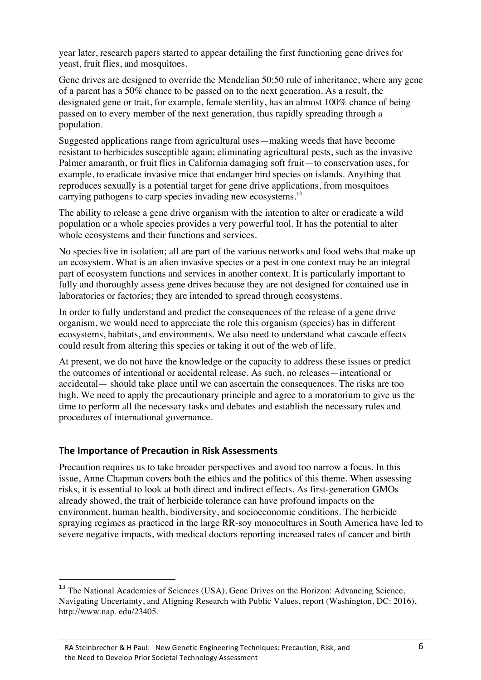year later, research papers started to appear detailing the first functioning gene drives for yeast, fruit flies, and mosquitoes.

Gene drives are designed to override the Mendelian 50:50 rule of inheritance, where any gene of a parent has a 50% chance to be passed on to the next generation. As a result, the designated gene or trait, for example, female sterility, has an almost 100% chance of being passed on to every member of the next generation, thus rapidly spreading through a population.

Suggested applications range from agricultural uses—making weeds that have become resistant to herbicides susceptible again; eliminating agricultural pests, such as the invasive Palmer amaranth, or fruit flies in California damaging soft fruit—to conservation uses, for example, to eradicate invasive mice that endanger bird species on islands. Anything that reproduces sexually is a potential target for gene drive applications, from mosquitoes carrying pathogens to carp species invading new ecosystems.<sup>13</sup>

The ability to release a gene drive organism with the intention to alter or eradicate a wild population or a whole species provides a very powerful tool. It has the potential to alter whole ecosystems and their functions and services.

No species live in isolation; all are part of the various networks and food webs that make up an ecosystem. What is an alien invasive species or a pest in one context may be an integral part of ecosystem functions and services in another context. It is particularly important to fully and thoroughly assess gene drives because they are not designed for contained use in laboratories or factories; they are intended to spread through ecosystems.

In order to fully understand and predict the consequences of the release of a gene drive organism, we would need to appreciate the role this organism (species) has in different ecosystems, habitats, and environments. We also need to understand what cascade effects could result from altering this species or taking it out of the web of life.

At present, we do not have the knowledge or the capacity to address these issues or predict the outcomes of intentional or accidental release. As such, no releases—intentional or accidental— should take place until we can ascertain the consequences. The risks are too high. We need to apply the precautionary principle and agree to a moratorium to give us the time to perform all the necessary tasks and debates and establish the necessary rules and procedures of international governance.

#### **The Importance of Precaution in Risk Assessments**

 

Precaution requires us to take broader perspectives and avoid too narrow a focus. In this issue, Anne Chapman covers both the ethics and the politics of this theme. When assessing risks, it is essential to look at both direct and indirect effects. As first-generation GMOs already showed, the trait of herbicide tolerance can have profound impacts on the environment, human health, biodiversity, and socioeconomic conditions. The herbicide spraying regimes as practiced in the large RR-soy monocultures in South America have led to severe negative impacts, with medical doctors reporting increased rates of cancer and birth

<sup>&</sup>lt;sup>13</sup> The National Academies of Sciences (USA), Gene Drives on the Horizon: Advancing Science, Navigating Uncertainty, and Aligning Research with Public Values, report (Washington, DC: 2016), http://www.nap. edu/23405.

RA Steinbrecher & H Paul: New Genetic Engineering Techniques: Precaution, Risk, and 6 the Need to Develop Prior Societal Technology Assessment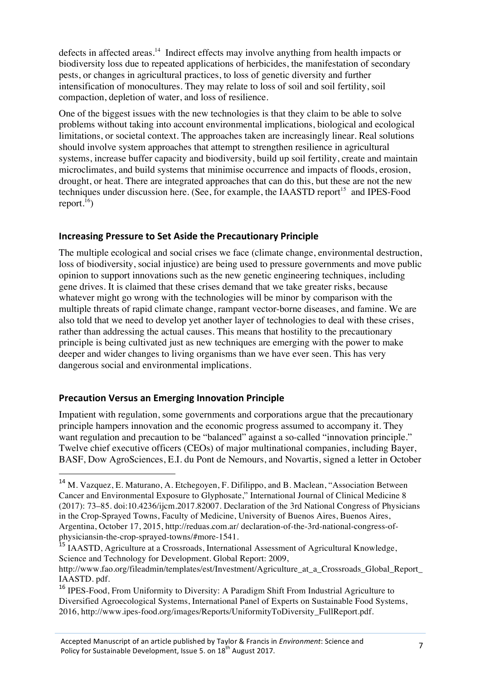defects in affected areas.<sup>14</sup> Indirect effects may involve anything from health impacts or biodiversity loss due to repeated applications of herbicides, the manifestation of secondary pests, or changes in agricultural practices, to loss of genetic diversity and further intensification of monocultures. They may relate to loss of soil and soil fertility, soil compaction, depletion of water, and loss of resilience.

One of the biggest issues with the new technologies is that they claim to be able to solve problems without taking into account environmental implications, biological and ecological limitations, or societal context. The approaches taken are increasingly linear. Real solutions should involve system approaches that attempt to strengthen resilience in agricultural systems, increase buffer capacity and biodiversity, build up soil fertility, create and maintain microclimates, and build systems that minimise occurrence and impacts of floods, erosion, drought, or heat. There are integrated approaches that can do this, but these are not the new techniques under discussion here. (See, for example, the IAASTD report<sup>15</sup> and IPES-Food report. 16)

## **Increasing Pressure to Set Aside the Precautionary Principle**

The multiple ecological and social crises we face (climate change, environmental destruction, loss of biodiversity, social injustice) are being used to pressure governments and move public opinion to support innovations such as the new genetic engineering techniques, including gene drives. It is claimed that these crises demand that we take greater risks, because whatever might go wrong with the technologies will be minor by comparison with the multiple threats of rapid climate change, rampant vector-borne diseases, and famine. We are also told that we need to develop yet another layer of technologies to deal with these crises, rather than addressing the actual causes. This means that hostility to the precautionary principle is being cultivated just as new techniques are emerging with the power to make deeper and wider changes to living organisms than we have ever seen. This has very dangerous social and environmental implications.

## **Precaution Versus an Emerging Innovation Principle**

 

Impatient with regulation, some governments and corporations argue that the precautionary principle hampers innovation and the economic progress assumed to accompany it. They want regulation and precaution to be "balanced" against a so-called "innovation principle." Twelve chief executive officers (CEOs) of major multinational companies, including Bayer, BASF, Dow AgroSciences, E.I. du Pont de Nemours, and Novartis, signed a letter in October

<sup>&</sup>lt;sup>14</sup> M. Vazquez, E. Maturano, A. Etchegoyen, F. Difilippo, and B. Maclean, "Association Between Cancer and Environmental Exposure to Glyphosate," International Journal of Clinical Medicine 8 (2017): 73–85. doi:10.4236/ijcm.2017.82007. Declaration of the 3rd National Congress of Physicians in the Crop-Sprayed Towns, Faculty of Medicine, University of Buenos Aires, Buenos Aires, Argentina, October 17, 2015, http://reduas.com.ar/ declaration-of-the-3rd-national-congress-ofphysiciansin-the-crop-sprayed-towns/#more-1541.

<sup>&</sup>lt;sup>15</sup> IAASTD, Agriculture at a Crossroads, International Assessment of Agricultural Knowledge, Science and Technology for Development. Global Report: 2009,

http://www.fao.org/fileadmin/templates/est/Investment/Agriculture\_at\_a\_Crossroads\_Global\_Report\_ IAASTD. pdf.

<sup>&</sup>lt;sup>16</sup> IPES-Food, From Uniformity to Diversity: A Paradigm Shift From Industrial Agriculture to Diversified Agroecological Systems, International Panel of Experts on Sustainable Food Systems, 2016, http://www.ipes-food.org/images/Reports/UniformityToDiversity\_FullReport.pdf.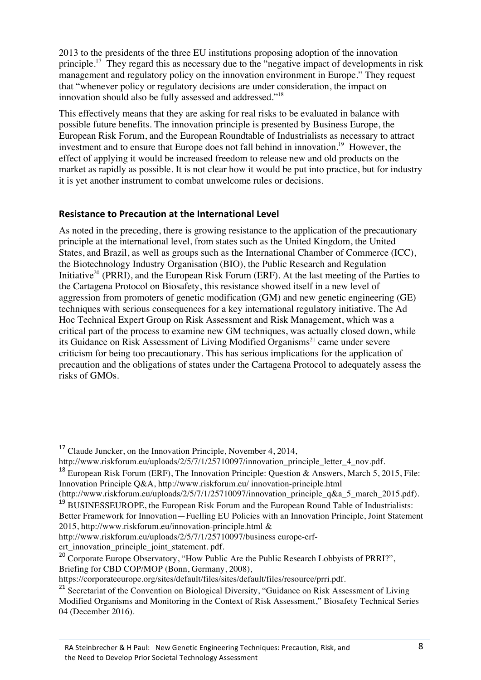2013 to the presidents of the three EU institutions proposing adoption of the innovation principle.17 They regard this as necessary due to the "negative impact of developments in risk management and regulatory policy on the innovation environment in Europe." They request that "whenever policy or regulatory decisions are under consideration, the impact on innovation should also be fully assessed and addressed."18

This effectively means that they are asking for real risks to be evaluated in balance with possible future benefits. The innovation principle is presented by Business Europe, the European Risk Forum, and the European Roundtable of Industrialists as necessary to attract investment and to ensure that Europe does not fall behind in innovation.<sup>19</sup> However, the effect of applying it would be increased freedom to release new and old products on the market as rapidly as possible. It is not clear how it would be put into practice, but for industry it is yet another instrument to combat unwelcome rules or decisions.

#### **Resistance to Precaution at the International Level**

As noted in the preceding, there is growing resistance to the application of the precautionary principle at the international level, from states such as the United Kingdom, the United States, and Brazil, as well as groups such as the International Chamber of Commerce (ICC), the Biotechnology Industry Organisation (BIO), the Public Research and Regulation Initiative<sup>20</sup> (PRRI), and the European Risk Forum (ERF). At the last meeting of the Parties to the Cartagena Protocol on Biosafety, this resistance showed itself in a new level of aggression from promoters of genetic modification (GM) and new genetic engineering (GE) techniques with serious consequences for a key international regulatory initiative. The Ad Hoc Technical Expert Group on Risk Assessment and Risk Management, which was a critical part of the process to examine new GM techniques, was actually closed down, while its Guidance on Risk Assessment of Living Modified Organisms<sup>21</sup> came under severe criticism for being too precautionary. This has serious implications for the application of precaution and the obligations of states under the Cartagena Protocol to adequately assess the risks of GMOs.

ert\_innovation\_principle\_joint\_statement. pdf.

<sup>&</sup>lt;sup>17</sup> Claude Juncker, on the Innovation Principle, November 4, 2014,

http://www.riskforum.eu/uploads/2/5/7/1/25710097/innovation\_principle\_letter\_4\_nov.pdf.

<sup>&</sup>lt;sup>18</sup> European Risk Forum (ERF), The Innovation Principle: Question & Answers, March 5, 2015, File: Innovation Principle Q&A, http://www.riskforum.eu/ innovation-principle.html

<sup>(</sup>http://www.riskforum.eu/uploads/2/5/7/1/25710097/innovation\_principle\_q&a\_5\_march\_2015.pdf).

<sup>&</sup>lt;sup>19</sup> BUSINESSEUROPE, the European Risk Forum and the European Round Table of Industrialists: Better Framework for Innovation—Fuelling EU Policies with an Innovation Principle, Joint Statement 2015, http://www.riskforum.eu/innovation-principle.html &

http://www.riskforum.eu/uploads/2/5/7/1/25710097/business europe-erf-

<sup>&</sup>lt;sup>20</sup> Corporate Europe Observatory, "How Public Are the Public Research Lobbyists of PRRI?", Briefing for CBD COP/MOP (Bonn, Germany, 2008),

https://corporateeurope.org/sites/default/files/sites/default/files/resource/prri.pdf.

<sup>&</sup>lt;sup>21</sup> Secretariat of the Convention on Biological Diversity, "Guidance on Risk Assessment of Living Modified Organisms and Monitoring in the Context of Risk Assessment," Biosafety Technical Series 04 (December 2016).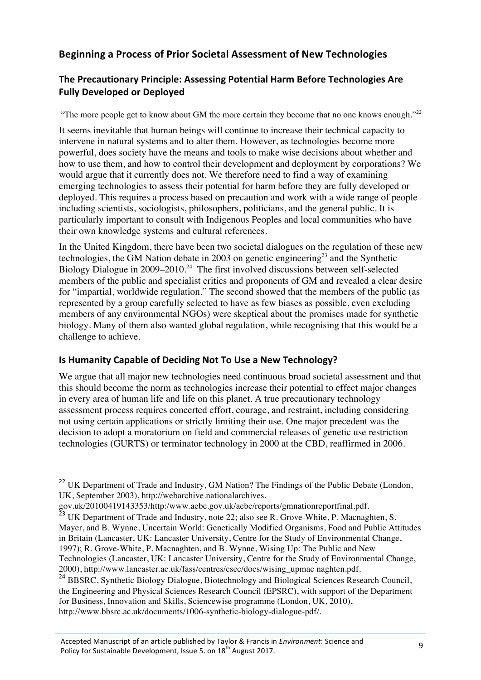# **Beginning a Process of Prior Societal Assessment of New Technologies**

## **The Precautionary Principle: Assessing Potential Harm Before Technologies Are Fully Developed or Deployed**

"The more people get to know about GM the more certain they become that no one knows enough."<sup>22</sup>

It seems inevitable that human beings will continue to increase their technical capacity to intervene in natural systems and to alter them. However, as technologies become more powerful, does society have the means and tools to make wise decisions about whether and how to use them, and how to control their development and deployment by corporations? We would argue that it currently does not. We therefore need to find a way of examining emerging technologies to assess their potential for harm before they are fully developed or deployed. This requires a process based on precaution and work with a wide range of people including scientists, sociologists, philosophers, politicians, and the general public. It is particularly important to consult with Indigenous Peoples and local communities who have their own knowledge systems and cultural references.

In the United Kingdom, there have been two societal dialogues on the regulation of these new technologies, the GM Nation debate in 2003 on genetic engineering<sup>23</sup> and the Synthetic Biology Dialogue in 2009–2010.<sup>24</sup> The first involved discussions between self-selected members of the public and specialist critics and proponents of GM and revealed a clear desire for "impartial, worldwide regulation." The second showed that the members of the public (as represented by a group carefully selected to have as few biases as possible, even excluding members of any environmental NGOs) were skeptical about the promises made for synthetic biology. Many of them also wanted global regulation, while recognising that this would be a challenge to achieve.

## **Is Humanity Capable of Deciding Not To Use a New Technology?**

We argue that all major new technologies need continuous broad societal assessment and that this should become the norm as technologies increase their potential to effect major changes in every area of human life and life on this planet. A true precautionary technology assessment process requires concerted effort, courage, and restraint, including considering not using certain applications or strictly limiting their use. One major precedent was the decision to adopt a moratorium on field and commercial releases of genetic use restriction technologies (GURTS) or terminator technology in 2000 at the CBD, reaffirmed in 2006.

gov.uk/20100419143353/http:/www.aebc.gov.uk/aebc/reports/gmnationreportfinal.pdf.

<sup>&</sup>lt;sup>22</sup> UK Department of Trade and Industry, GM Nation? The Findings of the Public Debate (London, UK, September 2003), http://webarchive.nationalarchives.

<sup>&</sup>lt;sup>23</sup> UK Department of Trade and Industry, note 22; also see R. Grove-White, P. Macnaghten, S. Mayer, and B. Wynne, Uncertain World: Genetically Modified Organisms, Food and Public Attitudes in Britain (Lancaster, UK: Lancaster University, Centre for the Study of Environmental Change, 1997); R. Grove-White, P. Macnaghten, and B. Wynne, Wising Up: The Public and New Technologies (Lancaster, UK: Lancaster University, Centre for the Study of Environmental Change, 2000), http://www.lancaster.ac.uk/fass/centres/csec/docs/wising\_upmac naghten.pdf.

<sup>&</sup>lt;sup>24</sup> BBSRC, Synthetic Biology Dialogue, Biotechnology and Biological Sciences Research Council, the Engineering and Physical Sciences Research Council (EPSRC), with support of the Department for Business, Innovation and Skills, Sciencewise programme (London, UK, 2010), http://www.bbsrc.ac.uk/documents/1006-synthetic-biology-dialogue-pdf/.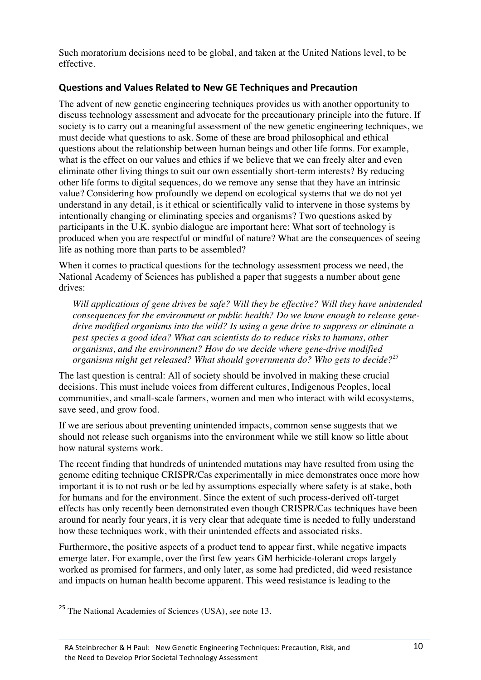Such moratorium decisions need to be global, and taken at the United Nations level, to be effective.

### **Questions and Values Related to New GE Techniques and Precaution**

The advent of new genetic engineering techniques provides us with another opportunity to discuss technology assessment and advocate for the precautionary principle into the future. If society is to carry out a meaningful assessment of the new genetic engineering techniques, we must decide what questions to ask. Some of these are broad philosophical and ethical questions about the relationship between human beings and other life forms. For example, what is the effect on our values and ethics if we believe that we can freely alter and even eliminate other living things to suit our own essentially short-term interests? By reducing other life forms to digital sequences, do we remove any sense that they have an intrinsic value? Considering how profoundly we depend on ecological systems that we do not yet understand in any detail, is it ethical or scientifically valid to intervene in those systems by intentionally changing or eliminating species and organisms? Two questions asked by participants in the U.K. synbio dialogue are important here: What sort of technology is produced when you are respectful or mindful of nature? What are the consequences of seeing life as nothing more than parts to be assembled?

When it comes to practical questions for the technology assessment process we need, the National Academy of Sciences has published a paper that suggests a number about gene drives:

*Will applications of gene drives be safe? Will they be effective? Will they have unintended consequences for the environment or public health? Do we know enough to release genedrive modified organisms into the wild? Is using a gene drive to suppress or eliminate a pest species a good idea? What can scientists do to reduce risks to humans, other organisms, and the environment? How do we decide where gene-drive modified organisms might get released? What should governments do? Who gets to decide?<sup>25</sup>*

The last question is central: All of society should be involved in making these crucial decisions. This must include voices from different cultures, Indigenous Peoples, local communities, and small-scale farmers, women and men who interact with wild ecosystems, save seed, and grow food.

If we are serious about preventing unintended impacts, common sense suggests that we should not release such organisms into the environment while we still know so little about how natural systems work.

The recent finding that hundreds of unintended mutations may have resulted from using the genome editing technique CRISPR/Cas experimentally in mice demonstrates once more how important it is to not rush or be led by assumptions especially where safety is at stake, both for humans and for the environment. Since the extent of such process-derived off-target effects has only recently been demonstrated even though CRISPR/Cas techniques have been around for nearly four years, it is very clear that adequate time is needed to fully understand how these techniques work, with their unintended effects and associated risks.

Furthermore, the positive aspects of a product tend to appear first, while negative impacts emerge later. For example, over the first few years GM herbicide-tolerant crops largely worked as promised for farmers, and only later, as some had predicted, did weed resistance and impacts on human health become apparent. This weed resistance is leading to the

<sup>&</sup>lt;sup>25</sup> The National Academies of Sciences (USA), see note 13.

RA Steinbrecher & H Paul: New Genetic Engineering Techniques: Precaution, Risk, and 10 the Need to Develop Prior Societal Technology Assessment